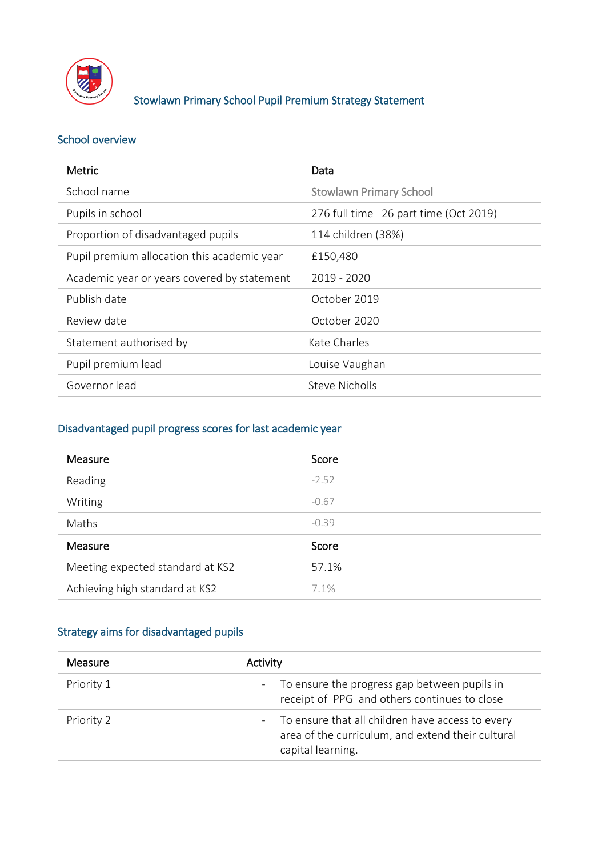

## Stowlawn Primary School Pupil Premium Strategy Statement

### School overview

| <b>Metric</b>                               | Data                                  |
|---------------------------------------------|---------------------------------------|
| School name                                 | <b>Stowlawn Primary School</b>        |
| Pupils in school                            | 276 full time 26 part time (Oct 2019) |
| Proportion of disadvantaged pupils          | 114 children (38%)                    |
| Pupil premium allocation this academic year | £150,480                              |
| Academic year or years covered by statement | 2019 - 2020                           |
| Publish date                                | October 2019                          |
| Review date                                 | October 2020                          |
| Statement authorised by                     | Kate Charles                          |
| Pupil premium lead                          | Louise Vaughan                        |
| Governor lead                               | <b>Steve Nicholls</b>                 |

#### Disadvantaged pupil progress scores for last academic year

| Measure                          | Score   |
|----------------------------------|---------|
| Reading                          | $-2.52$ |
| Writing                          | $-0.67$ |
| Maths                            | $-0.39$ |
| Measure                          | Score   |
| Meeting expected standard at KS2 | 57.1%   |
| Achieving high standard at KS2   | 7.1%    |

# Strategy aims for disadvantaged pupils

| Measure    | Activity                                                                                                                     |
|------------|------------------------------------------------------------------------------------------------------------------------------|
| Priority 1 | - To ensure the progress gap between pupils in<br>receipt of PPG and others continues to close                               |
| Priority 2 | - To ensure that all children have access to every<br>area of the curriculum, and extend their cultural<br>capital learning. |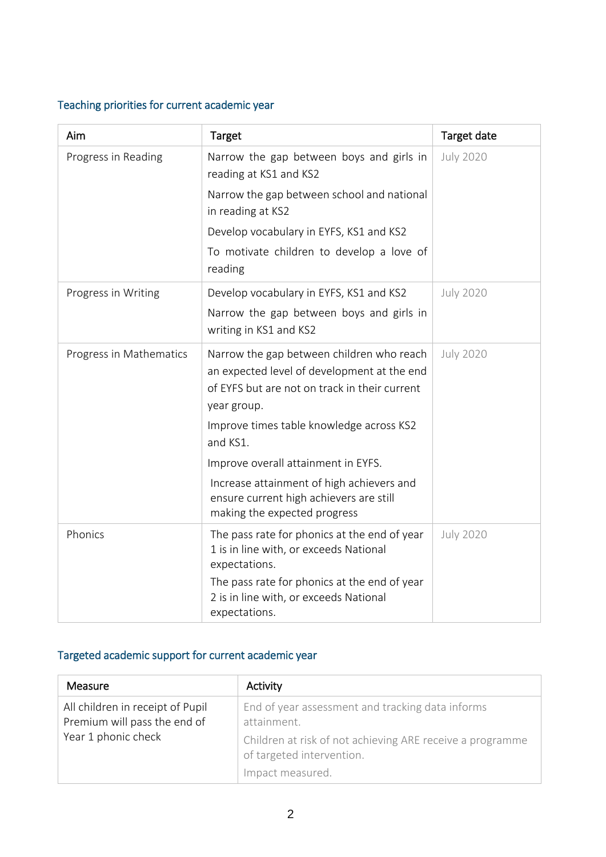## Teaching priorities for current academic year

| Aim                     | Target                                                                                                               | Target date      |
|-------------------------|----------------------------------------------------------------------------------------------------------------------|------------------|
| Progress in Reading     | Narrow the gap between boys and girls in<br>reading at KS1 and KS2                                                   | <b>July 2020</b> |
|                         | Narrow the gap between school and national<br>in reading at KS2                                                      |                  |
|                         | Develop vocabulary in EYFS, KS1 and KS2                                                                              |                  |
|                         | To motivate children to develop a love of<br>reading                                                                 |                  |
| Progress in Writing     | Develop vocabulary in EYFS, KS1 and KS2                                                                              | <b>July 2020</b> |
|                         | Narrow the gap between boys and girls in<br>writing in KS1 and KS2                                                   |                  |
| Progress in Mathematics | Narrow the gap between children who reach<br>an expected level of development at the end                             | <b>July 2020</b> |
|                         | of EYFS but are not on track in their current<br>year group.                                                         |                  |
|                         | Improve times table knowledge across KS2<br>and KS1.                                                                 |                  |
|                         | Improve overall attainment in EYFS.                                                                                  |                  |
|                         | Increase attainment of high achievers and<br>ensure current high achievers are still<br>making the expected progress |                  |
| Phonics                 | The pass rate for phonics at the end of year<br>1 is in line with, or exceeds National<br>expectations.              | <b>July 2020</b> |
|                         | The pass rate for phonics at the end of year<br>2 is in line with, or exceeds National<br>expectations.              |                  |

# Targeted academic support for current academic year

| <b>Measure</b>                                                   | Activity                                                                               |
|------------------------------------------------------------------|----------------------------------------------------------------------------------------|
| All children in receipt of Pupil<br>Premium will pass the end of | End of year assessment and tracking data informs<br>attainment.                        |
| Year 1 phonic check                                              | Children at risk of not achieving ARE receive a programme<br>of targeted intervention. |
|                                                                  | Impact measured.                                                                       |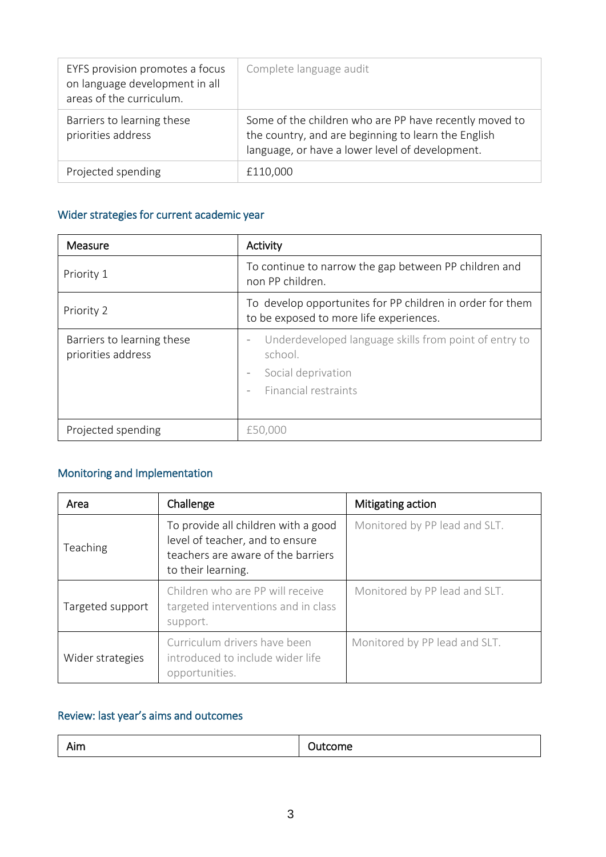| EYFS provision promotes a focus<br>on language development in all<br>areas of the curriculum. | Complete language audit                                                                                                                                          |
|-----------------------------------------------------------------------------------------------|------------------------------------------------------------------------------------------------------------------------------------------------------------------|
| Barriers to learning these<br>priorities address                                              | Some of the children who are PP have recently moved to<br>the country, and are beginning to learn the English<br>language, or have a lower level of development. |
| Projected spending                                                                            | £110,000                                                                                                                                                         |

## Wider strategies for current academic year

| Measure                                          | Activity                                                                                                                                                                                    |  |
|--------------------------------------------------|---------------------------------------------------------------------------------------------------------------------------------------------------------------------------------------------|--|
| Priority 1                                       | To continue to narrow the gap between PP children and<br>non PP children.                                                                                                                   |  |
| Priority 2                                       | To develop opportunites for PP children in order for them<br>to be exposed to more life experiences.                                                                                        |  |
| Barriers to learning these<br>priorities address | Underdeveloped language skills from point of entry to<br>$\qquad \qquad =$<br>school.<br>Social deprivation<br>$\overline{\phantom{a}}$<br>Financial restraints<br>$\overline{\phantom{a}}$ |  |
| Projected spending                               | £50,000                                                                                                                                                                                     |  |

## Monitoring and Implementation

| Area             | Challenge                                                                                                                          | Mitigating action             |
|------------------|------------------------------------------------------------------------------------------------------------------------------------|-------------------------------|
| Teaching         | To provide all children with a good<br>level of teacher, and to ensure<br>teachers are aware of the barriers<br>to their learning. | Monitored by PP lead and SLT. |
| Targeted support | Children who are PP will receive<br>targeted interventions and in class<br>support.                                                | Monitored by PP lead and SLT. |
| Wider strategies | Curriculum drivers have been<br>introduced to include wider life<br>opportunities.                                                 | Monitored by PP lead and SLT. |

## Review: last year's aims and outcomes

|--|